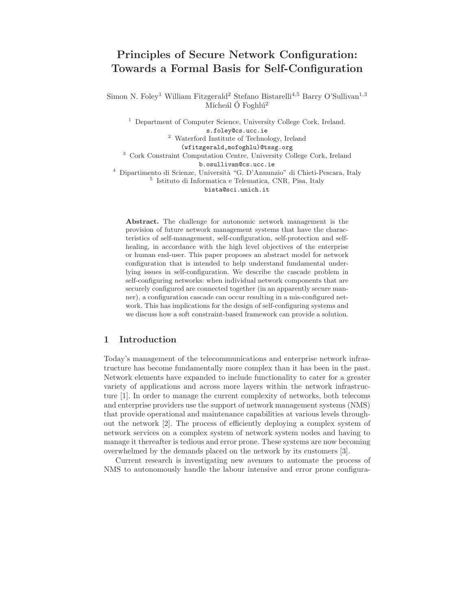# Principles of Secure Network Configuration: Towards a Formal Basis for Self-Configuration

Simon N. Foley<sup>1</sup> William Fitzgerald<sup>2</sup> Stefano Bistarelli<sup>4,5</sup> Barry O'Sullivan<sup>1,3</sup> Mícheál Ó Foghlú<sup>2</sup>

<sup>1</sup> Department of Computer Science, University College Cork, Ireland. s.foley@cs.ucc.ie <sup>2</sup> Waterford Institute of Technology, Ireland (wfitzgerald,mofoghlu)@tssg.org <sup>3</sup> Cork Constraint Computation Centre, University College Cork, Ireland b.osullivan@cs.ucc.ie <sup>4</sup> Dipartimento di Scienze, Universit`a "G. D'Annunzio" di Chieti-Pescara, Italy 5 Istituto di Informatica e Telematica, CNR, Pisa, Italy

bista@sci.unich.it

Abstract. The challenge for autonomic network management is the provision of future network management systems that have the characteristics of self-management, self-configuration, self-protection and selfhealing, in accordance with the high level objectives of the enterprise or human end-user. This paper proposes an abstract model for network configuration that is intended to help understand fundamental underlying issues in self-configuration. We describe the cascade problem in self-configuring networks: when individual network components that are securely configured are connected together (in an apparently secure manner), a configuration cascade can occur resulting in a mis-configured network. This has implications for the design of self-configuring systems and we discuss how a soft constraint-based framework can provide a solution.

# 1 Introduction

Today's management of the telecommunications and enterprise network infrastructure has become fundamentally more complex than it has been in the past. Network elements have expanded to include functionality to cater for a greater variety of applications and across more layers within the network infrastructure [1]. In order to manage the current complexity of networks, both telecoms and enterprise providers use the support of network management systems (NMS) that provide operational and maintenance capabilities at various levels throughout the network [2]. The process of efficiently deploying a complex system of network services on a complex system of network system nodes and having to manage it thereafter is tedious and error prone. These systems are now becoming overwhelmed by the demands placed on the network by its customers [3].

Current research is investigating new avenues to automate the process of NMS to autonomously handle the labour intensive and error prone configura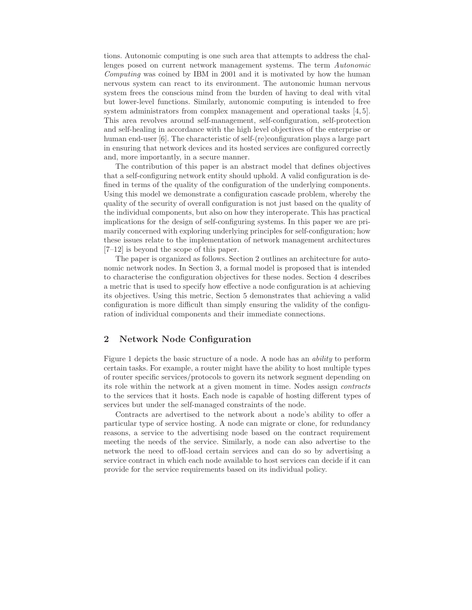tions. Autonomic computing is one such area that attempts to address the challenges posed on current network management systems. The term Autonomic Computing was coined by IBM in 2001 and it is motivated by how the human nervous system can react to its environment. The autonomic human nervous system frees the conscious mind from the burden of having to deal with vital but lower-level functions. Similarly, autonomic computing is intended to free system administrators from complex management and operational tasks [4, 5]. This area revolves around self-management, self-configuration, self-protection and self-healing in accordance with the high level objectives of the enterprise or human end-user [6]. The characteristic of self-(re)configuration plays a large part in ensuring that network devices and its hosted services are configured correctly and, more importantly, in a secure manner.

The contribution of this paper is an abstract model that defines objectives that a self-configuring network entity should uphold. A valid configuration is defined in terms of the quality of the configuration of the underlying components. Using this model we demonstrate a configuration cascade problem, whereby the quality of the security of overall configuration is not just based on the quality of the individual components, but also on how they interoperate. This has practical implications for the design of self-configuring systems. In this paper we are primarily concerned with exploring underlying principles for self-configuration; how these issues relate to the implementation of network management architectures [7–12] is beyond the scope of this paper.

The paper is organized as follows. Section 2 outlines an architecture for autonomic network nodes. In Section 3, a formal model is proposed that is intended to characterise the configuration objectives for these nodes. Section 4 describes a metric that is used to specify how effective a node configuration is at achieving its objectives. Using this metric, Section 5 demonstrates that achieving a valid configuration is more difficult than simply ensuring the validity of the configuration of individual components and their immediate connections.

# 2 Network Node Configuration

Figure 1 depicts the basic structure of a node. A node has an ability to perform certain tasks. For example, a router might have the ability to host multiple types of router specific services/protocols to govern its network segment depending on its role within the network at a given moment in time. Nodes assign contracts to the services that it hosts. Each node is capable of hosting different types of services but under the self-managed constraints of the node.

Contracts are advertised to the network about a node's ability to offer a particular type of service hosting. A node can migrate or clone, for redundancy reasons, a service to the advertising node based on the contract requirement meeting the needs of the service. Similarly, a node can also advertise to the network the need to off-load certain services and can do so by advertising a service contract in which each node available to host services can decide if it can provide for the service requirements based on its individual policy.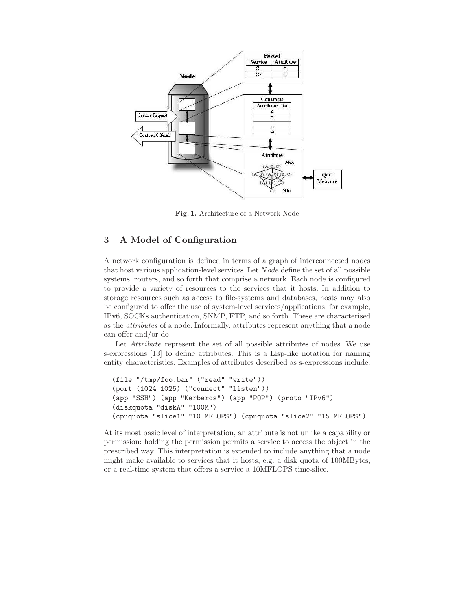

Fig. 1. Architecture of a Network Node

# 3 A Model of Configuration

A network configuration is defined in terms of a graph of interconnected nodes that host various application-level services. Let Node define the set of all possible systems, routers, and so forth that comprise a network. Each node is configured to provide a variety of resources to the services that it hosts. In addition to storage resources such as access to file-systems and databases, hosts may also be configured to offer the use of system-level services/applications, for example, IPv6, SOCKs authentication, SNMP, FTP, and so forth. These are characterised as the attributes of a node. Informally, attributes represent anything that a node can offer and/or do.

Let *Attribute* represent the set of all possible attributes of nodes. We use s-expressions [13] to define attributes. This is a Lisp-like notation for naming entity characteristics. Examples of attributes described as s-expressions include:

```
(file "/tmp/foo.bar" ("read" "write"))
(port (1024 1025) ("connect" "listen"))
(app "SSH") (app "Kerberos") (app "POP") (proto "IPv6")
(diskquota "diskA" "100M")
(cpuquota "slice1" "10-MFLOPS") (cpuquota "slice2" "15-MFLOPS")
```
At its most basic level of interpretation, an attribute is not unlike a capability or permission: holding the permission permits a service to access the object in the prescribed way. This interpretation is extended to include anything that a node might make available to services that it hosts, e.g. a disk quota of 100MBytes, or a real-time system that offers a service a 10MFLOPS time-slice.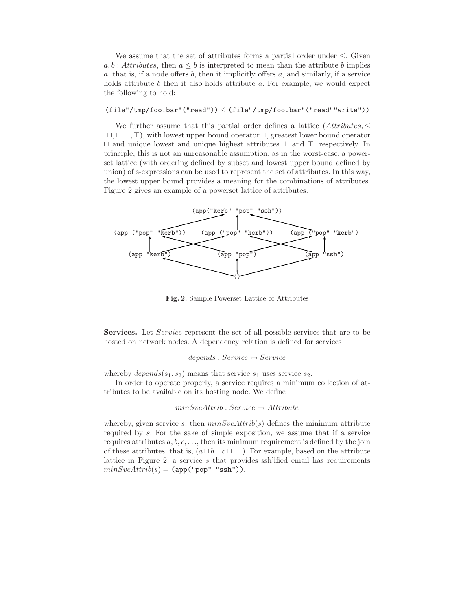We assume that the set of attributes forms a partial order under  $\leq$ . Given  $a, b$ : Attributes, then  $a \leq b$  is interpreted to mean than the attribute b implies a, that is, if a node offers b, then it implicitly offers a, and similarly, if a service holds attribute  $b$  then it also holds attribute  $a$ . For example, we would expect the following to hold:

# $(\mathtt{file"}/\mathtt{tmp}/\mathtt{foo}.\mathtt{bar"}(\mathtt{"read"})) \leq (\mathtt{file"}/\mathtt{tmp}/\mathtt{foo}.\mathtt{bar"}(\mathtt{"read" "write"))$

We further assume that this partial order defines a lattice  $(Attributes, \leq$ , ⊔, ⊓, ⊥, ⊤), with lowest upper bound operator ⊔, greatest lower bound operator ⊓ and unique lowest and unique highest attributes ⊥ and ⊤, respectively. In principle, this is not an unreasonable assumption, as in the worst-case, a powerset lattice (with ordering defined by subset and lowest upper bound defined by union) of s-expressions can be used to represent the set of attributes. In this way, the lowest upper bound provides a meaning for the combinations of attributes. Figure 2 gives an example of a powerset lattice of attributes.



Fig. 2. Sample Powerset Lattice of Attributes

Services. Let Service represent the set of all possible services that are to be hosted on network nodes. A dependency relation is defined for services

#### $depends: Service \leftrightarrow Service$

whereby  $depends(s_1, s_2)$  means that service  $s_1$  uses service  $s_2$ .

In order to operate properly, a service requires a minimum collection of attributes to be available on its hosting node. We define

# $minSvcAttribute : Service \rightarrowAttribute$

whereby, given service s, then  $minSvcAttrib(s)$  defines the minimum attribute required by s. For the sake of simple exposition, we assume that if a service requires attributes  $a, b, c, \ldots$ , then its minimum requirement is defined by the join of these attributes, that is,  $(a \sqcup b \sqcup c \sqcup ...)$ . For example, based on the attribute lattice in Figure 2, a service s that provides ssh'ified email has requirements  $minSvcAttrib(s) = (app("pop" "ssh"))$ .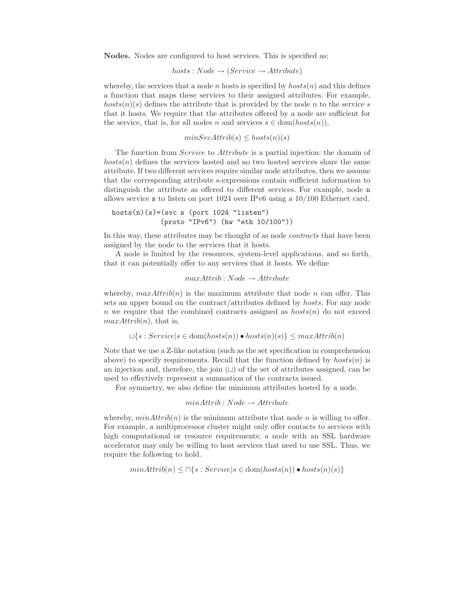Nodes. Nodes are configured to host services. This is specified as:

$$
hosts: Node \rightarrow (Service \rightarrow Attribute)
$$

whereby, the services that a node n hosts is specified by  $hosts(n)$  and this defines a function that maps these services to their assigned attributes. For example,  $hosts(n)(s)$  defines the attribute that is provided by the node n to the service s that it hosts. We require that the attributes offered by a node are sufficient for the service, that is, for all nodes n and services  $s \in \text{dom}(hosts(n)),$ 

$$
minSvcAttrib(s) \leq hosts(n)(s)
$$

The function from Service to Attribute is a partial injection: the domain of  $hosts(n)$  defines the services hosted and no two hosted services share the same attribute. If two different services require similar node attributes, then we assume that the corresponding attribute s-expressions contain sufficient information to distinguish the attribute as offered to different services. For example, node n allows service s to listen on port 1024 over IPv6 using a 10/100 Ethernet card.

```
hosts(n)(s)=(svc s (port 1024 "listen")(proto "IPv6") (hw "eth 10/100"))
```
In this way, these attributes may be thought of as node *contracts* that have been assigned by the node to the services that it hosts.

A node is limited by the resources, system-level applications, and so forth, that it can potentially offer to any services that it hosts. We define

$$
maxAttribute : Node \rightarrowAttribute
$$

whereby,  $maxAttrib(n)$  is the maximum attribute that node n can offer. This sets an upper bound on the contract/attributes defined by hosts. For any node n we require that the combined contracts assigned as  $hosts(n)$  do not exceed  $maxAttrib(n)$ , that is,

$$
\Box \{s : Service | s \in \text{dom}(hosts(n)) \bullet hosts(n)(s) \} \leq maxAttrib(n)
$$

Note that we use a Z-like notation (such as the set specification in comprehension above) to specify requirements. Recall that the function defined by  $hosts(n)$  is an injection and, therefore, the join (⊔) of the set of attributes assigned, can be used to effectively represent a summation of the contracts issued.

For symmetry, we also define the minimum attributes hosted by a node.

$$
minAttribute:Node \rightarrowAttribute
$$

whereby,  $minAttrib(n)$  is the minimum attribute that node n is willing to offer. For example, a multiprocessor cluster might only offer contacts to services with high computational or resource requirements; a node with an SSL hardware accelerator may only be willing to host services that need to use SSL. Thus, we require the following to hold.

 $minAttrib(n) \leq \Box\{s : Service|s \in dom(hosts(n)) \bullet hosts(n)(s)\}\$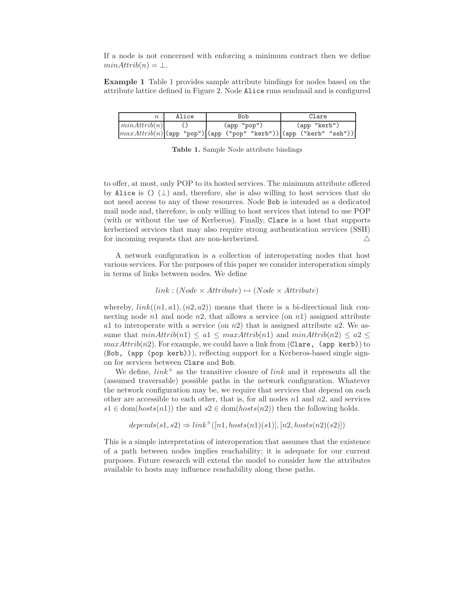If a node is not concerned with enforcing a minimum contract then we define  $minAttrib(n) = \perp.$ 

Example 1 Table 1 provides sample attribute bindings for nodes based on the attribute lattice defined in Figure 2. Node Alice runs sendmail and is configured

|                                                                                                            | Alice | Bob         |  |  | Clare        |  |  |
|------------------------------------------------------------------------------------------------------------|-------|-------------|--|--|--------------|--|--|
| minAttrib(n)                                                                                               |       | (app "pop") |  |  | (app "kerb") |  |  |
| $\left \maxAttribute(n)\right $ (app "pop") $\left \text{(app ("pop" "kerb"))\right $ (app ("kerb" "ssh")) |       |             |  |  |              |  |  |

Table 1. Sample Node attribute bindings

to offer, at most, only POP to its hosted services. The minimum attribute offered by Alice is ()  $(\perp)$  and, therefore, she is also willing to host services that do not need access to any of these resources. Node Bob is intended as a dedicated mail node and, therefore, is only willing to host services that intend to use POP (with or without the use of Kerberos). Finally, Clare is a host that supports kerberized services that may also require strong authentication services (SSH) for incoming requests that are non-kerberized.  $\triangle$ 

A network configuration is a collection of interoperating nodes that host various services. For the purposes of this paper we consider interoperation simply in terms of links between nodes. We define

 $link: (Node \times Attribute) \leftrightarrow (Node \times Attribute)$ 

whereby,  $link((n1, a1), (n2, a2))$  means that there is a bi-directional link connecting node  $n1$  and node  $n2$ , that allows a service (on  $n1$ ) assigned attribute a1 to interoperate with a service (on  $n/2$ ) that is assigned attribute a2. We assume that  $minAttrib(n1) \le a1 \le maxAttrib(n1)$  and  $minAttrib(n2) \le a2 \le$  $maxAttrib(n2)$ . For example, we could have a link from (Clare, (app kerb)) to (Bob, (app (pop kerb))), reflecting support for a Kerberos-based single signon for services between Clare and Bob.

We define,  $link^+$  as the transitive closure of link and it represents all the (assumed traversable) possible paths in the network configuration. Whatever the network configuration may be, we require that services that depend on each other are accessible to each other, that is, for all nodes  $n_1$  and  $n_2$ , and services  $s1 \in \text{dom}(hosts(n1))$  the and  $s2 \in \text{dom}(hosts(n2))$  then the following holds.

 $depends(s1, s2) \Rightarrow link^+([n1, hosts(n1)(s1)], [n2, hosts(n2)(s2)])$ 

This is a simple interpretation of interoperation that assumes that the existence of a path between nodes implies reachability; it is adequate for our current purposes. Future research will extend the model to consider how the attributes available to hosts may influence reachability along these paths.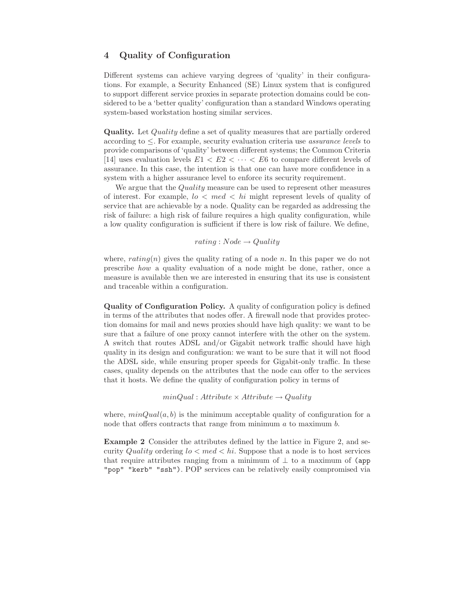# 4 Quality of Configuration

Different systems can achieve varying degrees of 'quality' in their configurations. For example, a Security Enhanced (SE) Linux system that is configured to support different service proxies in separate protection domains could be considered to be a 'better quality' configuration than a standard Windows operating system-based workstation hosting similar services.

Quality. Let Quality define a set of quality measures that are partially ordered according to  $\leq$ . For example, security evaluation criteria use *assurance levels* to provide comparisons of 'quality' between different systems; the Common Criteria [14] uses evaluation levels  $E1 < E2 < \cdots < E6$  to compare different levels of assurance. In this case, the intention is that one can have more confidence in a system with a higher assurance level to enforce its security requirement.

We argue that the *Quality* measure can be used to represent other measures of interest. For example,  $l \circ \langle med \rangle$  hi might represent levels of quality of service that are achievable by a node. Quality can be regarded as addressing the risk of failure: a high risk of failure requires a high quality configuration, while a low quality configuration is sufficient if there is low risk of failure. We define,

 $rating: Node \rightarrow Quality$ 

where,  $rating(n)$  gives the quality rating of a node n. In this paper we do not prescribe how a quality evaluation of a node might be done, rather, once a measure is available then we are interested in ensuring that its use is consistent and traceable within a configuration.

Quality of Configuration Policy. A quality of configuration policy is defined in terms of the attributes that nodes offer. A firewall node that provides protection domains for mail and news proxies should have high quality: we want to be sure that a failure of one proxy cannot interfere with the other on the system. A switch that routes ADSL and/or Gigabit network traffic should have high quality in its design and configuration: we want to be sure that it will not flood the ADSL side, while ensuring proper speeds for Gigabit-only traffic. In these cases, quality depends on the attributes that the node can offer to the services that it hosts. We define the quality of configuration policy in terms of

```
minQual: Attribute \times Attribute \rightarrow Quality
```
where,  $minQual(a, b)$  is the minimum acceptable quality of configuration for a node that offers contracts that range from minimum  $a$  to maximum  $b$ .

Example 2 Consider the attributes defined by the lattice in Figure 2, and security Quality ordering  $l \circ \leq m e d \leq h i$ . Suppose that a node is to host services that require attributes ranging from a minimum of  $\perp$  to a maximum of (app) "pop" "kerb" "ssh"). POP services can be relatively easily compromised via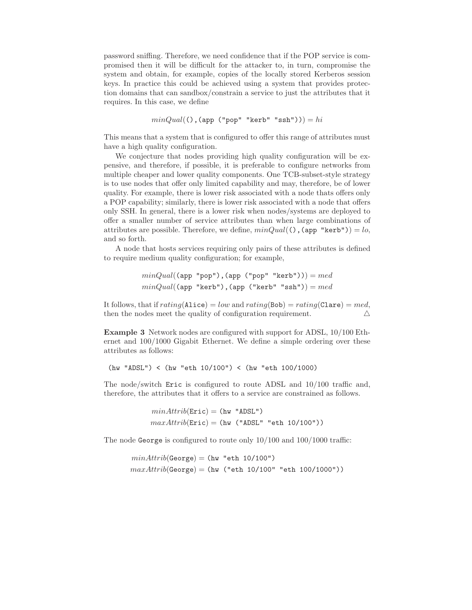password sniffing. Therefore, we need confidence that if the POP service is compromised then it will be difficult for the attacker to, in turn, compromise the system and obtain, for example, copies of the locally stored Kerberos session keys. In practice this could be achieved using a system that provides protection domains that can sandbox/constrain a service to just the attributes that it requires. In this case, we define

```
minQual(), (ap' "pop" "kerb" "ssh")) = hi
```
This means that a system that is configured to offer this range of attributes must have a high quality configuration.

We conjecture that nodes providing high quality configuration will be expensive, and therefore, if possible, it is preferable to configure networks from multiple cheaper and lower quality components. One TCB-subset-style strategy is to use nodes that offer only limited capability and may, therefore, be of lower quality. For example, there is lower risk associated with a node thats offers only a POP capability; similarly, there is lower risk associated with a node that offers only SSH. In general, there is a lower risk when nodes/systems are deployed to offer a smaller number of service attributes than when large combinations of attributes are possible. Therefore, we define,  $minQual()$ ,  $(\text{app "kerb")}) = lo$ , and so forth.

A node that hosts services requiring only pairs of these attributes is defined to require medium quality configuration; for example,

> $minQual((app "pop")$ ,  $(app ("pop" "kerb")) = med$  $minQual(\text{app "kerb"),(\text{app ("kerb" "ssh")) = med$

It follows, that if  $rating(\texttt{Alice}) = low$  and  $rating(\texttt{Bob}) = rating(\texttt{Clare}) = med$ , then the nodes meet the quality of configuration requirement.  $\Delta$ 

Example 3 Network nodes are configured with support for ADSL, 10/100 Ethernet and 100/1000 Gigabit Ethernet. We define a simple ordering over these attributes as follows:

(hw "ADSL") < (hw "eth 10/100") < (hw "eth 100/1000)

The node/switch Eric is configured to route ADSL and 10/100 traffic and, therefore, the attributes that it offers to a service are constrained as follows.

> $minAttrib(Eric) = (hw "ADSL")$  $maxAttribute(\text{Eric}) = (hw ("ADSL" "eth 10/100"))$

The node George is configured to route only 10/100 and 100/1000 traffic:

```
minAttrib(George) = (hw "eth 10/100")maxAttrib(George) = (hw ("eth 10/100" "eth 100/1000"))
```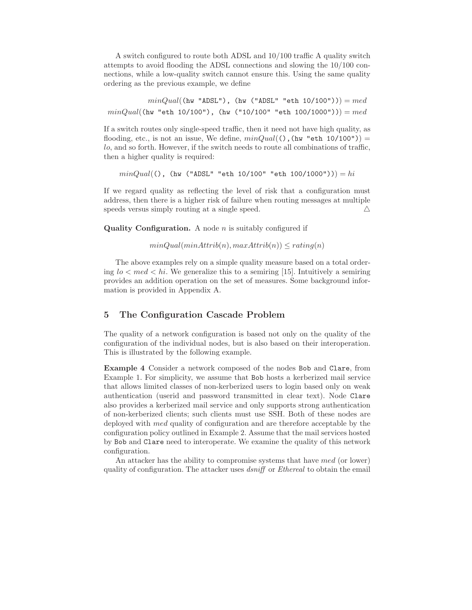A switch configured to route both ADSL and 10/100 traffic A quality switch attempts to avoid flooding the ADSL connections and slowing the 10/100 connections, while a low-quality switch cannot ensure this. Using the same quality ordering as the previous example, we define

 $minQual((hw "ADSL")$ ,  $hw (MBSL" "eth 10/100")) = med$  $minQual(\text{hw "eth 10/100"), (hw ("10/100" "eth 100/1000")) = med$ 

If a switch routes only single-speed traffic, then it need not have high quality, as flooding, etc., is not an issue, We define,  $minQual($   $)$ ,  $(hw$  "eth 10/100" $)$  = lo, and so forth. However, if the switch needs to route all combinations of traffic, then a higher quality is required:

 $minQuad(()$ , (hw ("ADSL" "eth 10/100" "eth 100/1000")) $) = hi$ 

If we regard quality as reflecting the level of risk that a configuration must address, then there is a higher risk of failure when routing messages at multiple speeds versus simply routing at a single speed.  $\triangle$ 

Quality Configuration. A node  $n$  is suitably configured if

 $minQual(minAttribute(n), maxAttribute(n)) \leq rating(n)$ 

The above examples rely on a simple quality measure based on a total ordering  $lo < med < hi$ . We generalize this to a semiring [15]. Intuitively a semiring provides an addition operation on the set of measures. Some background information is provided in Appendix A.

# 5 The Configuration Cascade Problem

The quality of a network configuration is based not only on the quality of the configuration of the individual nodes, but is also based on their interoperation. This is illustrated by the following example.

Example 4 Consider a network composed of the nodes Bob and Clare, from Example 1. For simplicity, we assume that Bob hosts a kerberized mail service that allows limited classes of non-kerberized users to login based only on weak authentication (userid and password transmitted in clear text). Node Clare also provides a kerberized mail service and only supports strong authentication of non-kerberized clients; such clients must use SSH. Both of these nodes are deployed with med quality of configuration and are therefore acceptable by the configuration policy outlined in Example 2. Assume that the mail services hosted by Bob and Clare need to interoperate. We examine the quality of this network configuration.

An attacker has the ability to compromise systems that have med (or lower) quality of configuration. The attacker uses dsniff or Ethereal to obtain the email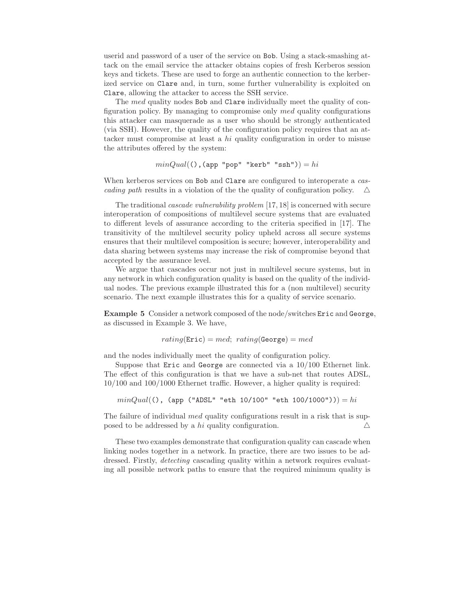userid and password of a user of the service on Bob. Using a stack-smashing attack on the email service the attacker obtains copies of fresh Kerberos session keys and tickets. These are used to forge an authentic connection to the kerberized service on Clare and, in turn, some further vulnerability is exploited on Clare, allowing the attacker to access the SSH service.

The med quality nodes Bob and Clare individually meet the quality of configuration policy. By managing to compromise only med quality configurations this attacker can masquerade as a user who should be strongly authenticated (via SSH). However, the quality of the configuration policy requires that an attacker must compromise at least a hi quality configuration in order to misuse the attributes offered by the system:

```
minQual(), app "pop" "kerb" "ssh") = hi
```
When kerberos services on Bob and Clare are configured to interoperate a cascading path results in a violation of the the quality of configuration policy.  $\Delta$ 

The traditional cascade vulnerability problem [17, 18] is concerned with secure interoperation of compositions of multilevel secure systems that are evaluated to different levels of assurance according to the criteria specified in [17]. The transitivity of the multilevel security policy upheld across all secure systems ensures that their multilevel composition is secure; however, interoperability and data sharing between systems may increase the risk of compromise beyond that accepted by the assurance level.

We argue that cascades occur not just in multilevel secure systems, but in any network in which configuration quality is based on the quality of the individual nodes. The previous example illustrated this for a (non multilevel) security scenario. The next example illustrates this for a quality of service scenario.

Example 5 Consider a network composed of the node/switches Eric and George, as discussed in Example 3. We have,

$$
rating(\texttt{Eric}) = med; \ rating(\texttt{George}) = med
$$

and the nodes individually meet the quality of configuration policy.

Suppose that Eric and George are connected via a 10/100 Ethernet link. The effect of this configuration is that we have a sub-net that routes ADSL, 10/100 and 100/1000 Ethernet traffic. However, a higher quality is required:

 $minQual()$ , (app ("ADSL" "eth 10/100" "eth 100/1000")) = hi

The failure of individual *med* quality configurations result in a risk that is supposed to be addressed by a hi quality configuration.  $\Delta$ 

These two examples demonstrate that configuration quality can cascade when linking nodes together in a network. In practice, there are two issues to be addressed. Firstly, detecting cascading quality within a network requires evaluating all possible network paths to ensure that the required minimum quality is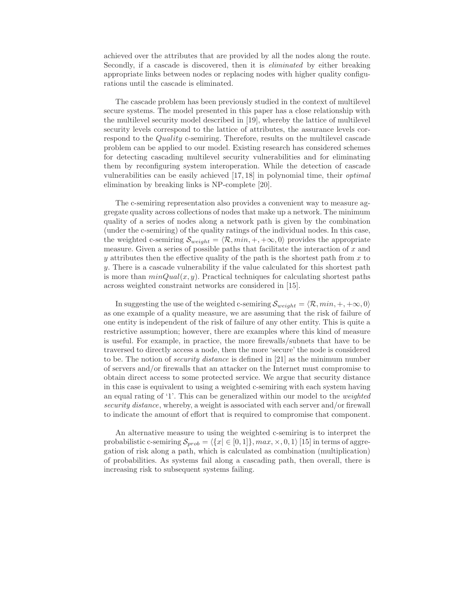achieved over the attributes that are provided by all the nodes along the route. Secondly, if a cascade is discovered, then it is eliminated by either breaking appropriate links between nodes or replacing nodes with higher quality configurations until the cascade is eliminated.

The cascade problem has been previously studied in the context of multilevel secure systems. The model presented in this paper has a close relationship with the multilevel security model described in [19], whereby the lattice of multilevel security levels correspond to the lattice of attributes, the assurance levels correspond to the Quality c-semiring. Therefore, results on the multilevel cascade problem can be applied to our model. Existing research has considered schemes for detecting cascading multilevel security vulnerabilities and for eliminating them by reconfiguring system interoperation. While the detection of cascade vulnerabilities can be easily achieved [17, 18] in polynomial time, their optimal elimination by breaking links is NP-complete [20].

The c-semiring representation also provides a convenient way to measure aggregate quality across collections of nodes that make up a network. The minimum quality of a series of nodes along a network path is given by the combination (under the c-semiring) of the quality ratings of the individual nodes. In this case, the weighted c-semiring  $\mathcal{S}_{weight} = \langle \mathcal{R}, min, +, +\infty, 0 \rangle$  provides the appropriate measure. Given a series of possible paths that facilitate the interaction of  $x$  and y attributes then the effective quality of the path is the shortest path from  $x$  to y. There is a cascade vulnerability if the value calculated for this shortest path is more than  $minQual(x, y)$ . Practical techniques for calculating shortest paths across weighted constraint networks are considered in [15].

In suggesting the use of the weighted c-semiring  $\mathcal{S}_{weight} = \langle \mathcal{R}, min, +, +\infty, 0 \rangle$ as one example of a quality measure, we are assuming that the risk of failure of one entity is independent of the risk of failure of any other entity. This is quite a restrictive assumption; however, there are examples where this kind of measure is useful. For example, in practice, the more firewalls/subnets that have to be traversed to directly access a node, then the more 'secure' the node is considered to be. The notion of security distance is defined in [21] as the minimum number of servers and/or firewalls that an attacker on the Internet must compromise to obtain direct access to some protected service. We argue that security distance in this case is equivalent to using a weighted c-semiring with each system having an equal rating of '1'. This can be generalized within our model to the weighted security distance, whereby, a weight is associated with each server and/or firewall to indicate the amount of effort that is required to compromise that component.

An alternative measure to using the weighted c-semiring is to interpret the probabilistic c-semiring  $\mathcal{S}_{prob} = \langle \{x | \in [0, 1]\}, max, \times, 0, 1\rangle$  [15] in terms of aggregation of risk along a path, which is calculated as combination (multiplication) of probabilities. As systems fail along a cascading path, then overall, there is increasing risk to subsequent systems failing.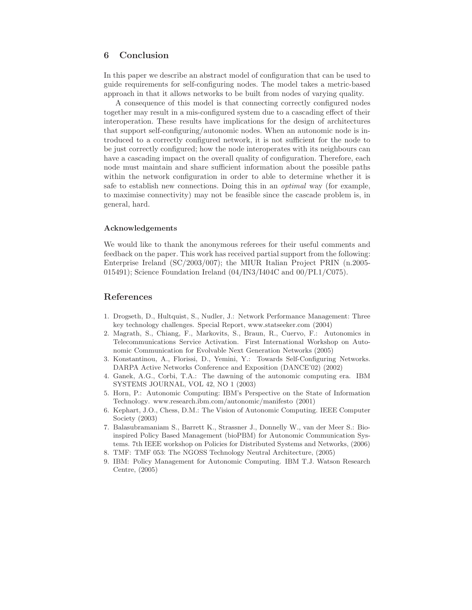# 6 Conclusion

In this paper we describe an abstract model of configuration that can be used to guide requirements for self-configuring nodes. The model takes a metric-based approach in that it allows networks to be built from nodes of varying quality.

A consequence of this model is that connecting correctly configured nodes together may result in a mis-configured system due to a cascading effect of their interoperation. These results have implications for the design of architectures that support self-configuring/autonomic nodes. When an autonomic node is introduced to a correctly configured network, it is not sufficient for the node to be just correctly configured; how the node interoperates with its neighbours can have a cascading impact on the overall quality of configuration. Therefore, each node must maintain and share sufficient information about the possible paths within the network configuration in order to able to determine whether it is safe to establish new connections. Doing this in an optimal way (for example, to maximise connectivity) may not be feasible since the cascade problem is, in general, hard.

#### Acknowledgements

We would like to thank the anonymous referees for their useful comments and feedback on the paper. This work has received partial support from the following: Enterprise Ireland (SC/2003/007); the MIUR Italian Project PRIN (n.2005- 015491); Science Foundation Ireland  $(04/IN3/1404C$  and  $00/PL1/C075)$ .

# References

- 1. Drogseth, D., Hultquist, S., Nudler, J.: Network Performance Management: Three key technology challenges. Special Report, www.statseeker.com (2004)
- 2. Magrath, S., Chiang, F., Markovits, S., Braun, R., Cuervo, F.: Autonomics in Telecommunications Service Activation. First International Workshop on Autonomic Communication for Evolvable Next Generation Networks (2005)
- 3. Konstantinou, A., Florissi, D., Yemini, Y.: Towards Self-Configuring Networks. DARPA Active Networks Conference and Exposition (DANCE'02) (2002)
- 4. Ganek, A.G., Corbi, T.A.: The dawning of the autonomic computing era. IBM SYSTEMS JOURNAL, VOL 42, NO 1 (2003)
- 5. Horn, P.: Autonomic Computing: IBM's Perspective on the State of Information Technology. www.research.ibm.com/autonomic/manifesto (2001)
- 6. Kephart, J.O., Chess, D.M.: The Vision of Autonomic Computing. IEEE Computer Society (2003)
- 7. Balasubramaniam S., Barrett K., Strassner J., Donnelly W., van der Meer S.: Bioinspired Policy Based Management (bioPBM) for Autonomic Communication Systems. 7th IEEE workshop on Policies for Distributed Systems and Networks, (2006)
- 8. TMF: TMF 053: The NGOSS Technology Neutral Architecture, (2005)
- 9. IBM: Policy Management for Autonomic Computing. IBM T.J. Watson Research Centre, (2005)